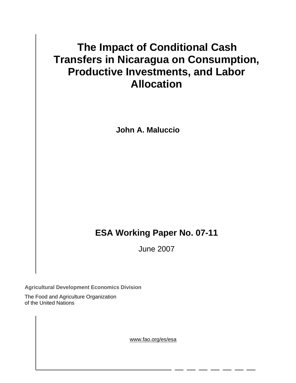# **The Impact of Conditional Cash Transfers in Nicaragua on Consumption, Productive Investments, and Labor Allocation**

**John A. Maluccio** 

# **ESA Working Paper No. 07-11**

June 2007

**Agricultural Development Economics Division** 

The Food and Agriculture Organization of the United Nations

www.fao.org/es/esa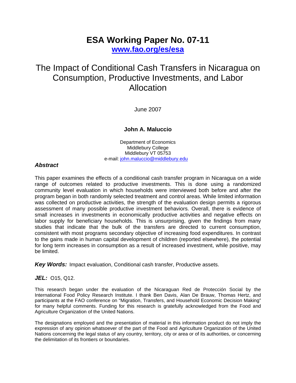## **ESA Working Paper No. 07-11 [www.fao.org/es/esa](http://www.fao.org/es/esa)**

## The Impact of Conditional Cash Transfers in Nicaragua on Consumption, Productive Investments, and Labor Allocation

June 2007

## **John A. Maluccio**

Department of Economics Middlebury College Middlebury VT 05753 e-mail: [john.maluccio@middlebury.edu](mailto:john.maluccio@middlebury.edu) 

## *Abstract*

This paper examines the effects of a conditional cash transfer program in Nicaragua on a wide range of outcomes related to productive investments. This is done using a randomized community level evaluation in which households were interviewed both before and after the program began in both randomly selected treatment and control areas. While limited information was collected on productive activities, the strength of the evaluation design permits a rigorous assessment of many possible productive investment behaviors. Overall, there is evidence of small increases in investments in economically productive activities and negative effects on labor supply for beneficiary households. This is unsurprising, given the findings from many studies that indicate that the bulk of the transfers are directed to current consumption, consistent with most programs secondary objective of increasing food expenditures. In contrast to the gains made in human capital development of children (reported elsewhere), the potential for long term increases in consumption as a result of increased investment, while positive, may be limited.

*Key Words:* Impact evaluation, Conditional cash transfer, Productive assets.

## *JEL:* O15, Q12.

This research began under the evaluation of the Nicaraguan Red de Protección Social by the International Food Policy Research Institute. I thank Ben Davis, Alan De Brauw, Thomas Hertz, and participants at the FAO conference on "Migration, Transfers, and Household Economic Decision Making" for many helpful comments. Funding for this research is gratefully acknowledged from the Food and Agriculture Organization of the United Nations.

The designations employed and the presentation of material in this information product do not imply the expression of any opinion whatsoever of the part of the Food and Agriculture Organization of the United Nations concerning the legal status of any country, territory, city or area or of its authorities, or concerning the delimitation of its frontiers or boundaries.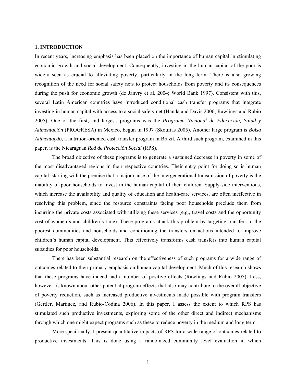#### **1. INTRODUCTION**

In recent years, increasing emphasis has been placed on the importance of human capital in stimulating economic growth and social development. Consequently, investing in the human capital of the poor is widely seen as crucial to alleviating poverty, particularly in the long term. There is also growing recognition of the need for social safety nets to protect households from poverty and its consequences during the push for economic growth (de Janvry et al. 2004; World Bank 1997). Consistent with this, several Latin American countries have introduced conditional cash transfer programs that integrate investing in human capital with access to a social safety net (Handa and Davis 2006; Rawlings and Rubio 2005). One of the first, and largest, programs was the *Programa Nacional de Educación, Salud y Alimentación* (PROGRESA) in Mexico, begun in 1997 (Skoufias 2005). Another large program is *Bolsa Alimentação*, a nutrition-oriented cash transfer program in Brazil. A third such program, examined in this paper, is the Nicaraguan *Red de Protección Social* (RPS).

The broad objective of these programs is to generate a sustained decrease in poverty in some of the most disadvantaged regions in their respective countries. Their entry point for doing so is human capital, starting with the premise that a major cause of the intergenerational transmission of poverty is the inability of poor households to invest in the human capital of their children. Supply-side interventions, which increase the availability and quality of education and health-care services, are often ineffective in resolving this problem, since the resource constraints facing poor households preclude them from incurring the private costs associated with utilizing these services (e.g., travel costs and the opportunity cost of women's and children's time). These programs attack this problem by targeting transfers to the poorest communities and households and conditioning the transfers on actions intended to improve children's human capital development. This effectively transforms cash transfers into human capital subsidies for poor households.

There has been substantial research on the effectiveness of such programs for a wide range of outcomes related to their primary emphasis on human capital development. Much of this research shows that these programs have indeed had a number of positive effects (Rawlings and Rubio 2005). Less, however, is known about other potential program effects that also may contribute to the overall objective of poverty reduction, such as increased productive investments made possible with program transfers (Gertler, Martinez, and Rubio-Codina 2006). In this paper, I assess the extent to which RPS has stimulated such productive investments, exploring some of the other direct and indirect mechanisms through which one might expect programs such as these to reduce poverty in the medium and long term.

More specifically, I present quantitative impacts of RPS for a wide range of outcomes related to productive investments. This is done using a randomized community level evaluation in which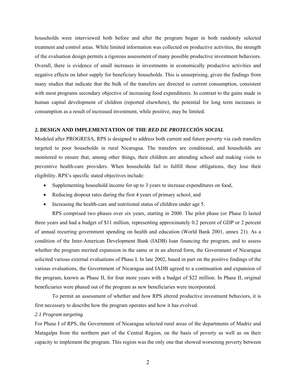households were interviewed both before and after the program began in both randomly selected treatment and control areas. While limited information was collected on productive activities, the strength of the evaluation design permits a rigorous assessment of many possible productive investment behaviors. Overall, there is evidence of small increases in investments in economically productive activities and negative effects on labor supply for beneficiary households. This is unsurprising, given the findings from many studies that indicate that the bulk of the transfers are directed to current consumption, consistent with most programs secondary objective of increasing food expenditures. In contrast to the gains made in human capital development of children (reported elsewhere), the potential for long term increases in consumption as a result of increased investment, while positive, may be limited.

#### **2. DESIGN AND IMPLEMENTATION OF THE** *RED DE PROTECCIÓN SOCIAL*

Modeled after PROGRESA, RPS is designed to address both current and future poverty via cash transfers targeted to poor households in rural Nicaragua. The transfers are conditional, and households are monitored to ensure that, among other things, their children are attending school and making visits to preventive health-care providers. When households fail to fulfill those obligations, they lose their eligibility. RPS's specific stated objectives include:

- Supplementing household income for up to 3 years to increase expenditures on food,
- Reducing dropout rates during the first 4 years of primary school, and
- Increasing the health-care and nutritional status of children under age 5.

RPS comprised two phases over six years, starting in 2000. The pilot phase (or Phase I) lasted three years and had a budget of \$11 million, representing approximately 0.2 percent of GDP or 2 percent of annual recurring government spending on health and education (World Bank 2001, annex 21). As a condition of the Inter-American Development Bank (IADB) loan financing the program, and to assess whether the program merited expansion in the same or in an altered form, the Government of Nicaragua solicited various external evaluations of Phase I. In late 2002, based in part on the positive findings of the various evaluations, the Government of Nicaragua and IADB agreed to a continuation and expansion of the program, known as Phase II, for four more years with a budget of \$22 million. In Phase II, original beneficiaries were phased out of the program as new beneficiaries were incorporated.

To permit an assessment of whether and how RPS altered productive investment behaviors, it is first necessary to describe how the program operates and how it has evolved.

#### *2.1 Program targeting*

For Phase I of RPS, the Government of Nicaragua selected rural areas of the departments of Madriz and Matagalpa from the northern part of the Central Region, on the basis of poverty as well as on their capacity to implement the program. This region was the only one that showed worsening poverty between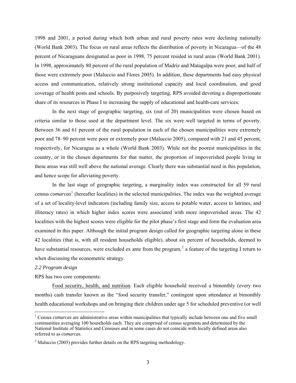1998 and 2001, a period during which both urban and rural poverty rates were declining nationally (World Bank 2003). The focus on rural areas reflects the distribution of poverty in Nicaragua—of the 48 percent of Nicaraguans designated as poor in 1998, 75 percent resided in rural areas (World Bank 2001). In 1998, approximately 80 percent of the rural population of Madriz and Matagalpa were poor, and half of those were extremely poor (Maluccio and Flores 2005). In addition, these departments had easy physical access and communication, relatively strong institutional capacity and local coordination, and good coverage of health posts and schools. By purposively targeting, RPS avoided devoting a disproportionate share of its resources in Phase I to increasing the supply of educational and health-care services.

In the next stage of geographic targeting, six (out of 20) municipalities were chosen based on criteria similar to those used at the department level. The six were well targeted in terms of poverty. Between 36 and 61 percent of the rural population in each of the chosen municipalities were extremely poor and 78–90 percent were poor or extremely poor (Maluccio 2005), compared with 21 and 45 percent, respectively, for Nicaragua as a whole (World Bank 2003). While not the poorest municipalities in the country, or in the chosen departments for that matter, the proportion of impoverished people living in these areas was still well above the national average. Clearly there was substantial need in this population, and hence scope for alleviating poverty.

In the last stage of geographic targeting, a marginality index was constructed for all 59 rural census *comarcas* [1](#page-4-0) (hereafter localities) in the selected municipalities. The index was the weighted average of a set of locality-level indicators (including family size, access to potable water, access to latrines, and illiteracy rates) in which higher index scores were associated with more impoverished areas. The 42 localities with the highest scores were eligible for the pilot phase's first stage and form the evaluation area examined in this paper. Although the initial program design called for geographic targeting alone in these 42 localities (that is, with all resident households eligible), about six percent of households, deemed to have substantial resources, were excluded ex ante from the program,<sup>[2](#page-4-1)</sup> a feature of the targeting I return to when discussing the econometric strategy.

#### *2.2 Program design*

 $\overline{a}$ 

RPS has two core components:

Food security, health, and nutrition. Each eligible household received a bimonthly (every two months) cash transfer known as the "food security transfer," contingent upon attendance at bimonthly health educational workshops and on bringing their children under age 5 for scheduled preventive (or well

<span id="page-4-0"></span><sup>&</sup>lt;sup>1</sup> Census *comarcas* are administrative areas within municipalities that typically include between one and five small communities averaging 100 households each. They are comprised of census segments and determined by the National Institute of Statistics and Censuses and in some cases do not coincide with locally defined areas also referred to as *comarcas*.

<span id="page-4-1"></span><sup>&</sup>lt;sup>2</sup> Maluccio (2005) provides further details on the RPS targeting methodology.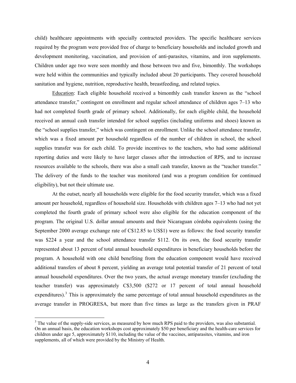child) healthcare appointments with specially contracted providers. The specific healthcare services required by the program were provided free of charge to beneficiary households and included growth and development monitoring, vaccination, and provision of anti-parasites, vitamins, and iron supplements. Children under age two were seen monthly and those between two and five, bimonthly. The workshops were held within the communities and typically included about 20 participants. They covered household sanitation and hygiene, nutrition, reproductive health, breastfeeding, and related topics.

Education: Each eligible household received a bimonthly cash transfer known as the "school attendance transfer," contingent on enrollment and regular school attendance of children ages 7–13 who had not completed fourth grade of primary school. Additionally, for each eligible child, the household received an annual cash transfer intended for school supplies (including uniforms and shoes) known as the "school supplies transfer," which was contingent on enrollment. Unlike the school attendance transfer, which was a fixed amount per household regardless of the number of children in school, the school supplies transfer was for each child. To provide incentives to the teachers, who had some additional reporting duties and were likely to have larger classes after the introduction of RPS, and to increase resources available to the schools, there was also a small cash transfer, known as the "teacher transfer." The delivery of the funds to the teacher was monitored (and was a program condition for continued eligibility), but not their ultimate use.

At the outset, nearly all households were eligible for the food security transfer, which was a fixed amount per household, regardless of household size. Households with children ages 7–13 who had not yet completed the fourth grade of primary school were also eligible for the education component of the program. The original U.S. dollar annual amounts and their Nicaraguan córdoba equivalents (using the September 2000 average exchange rate of C\$12.85 to US\$1) were as follows: the food security transfer was \$224 a year and the school attendance transfer \$112. On its own, the food security transfer represented about 13 percent of total annual household expenditures in beneficiary households before the program. A household with one child benefiting from the education component would have received additional transfers of about 8 percent, yielding an average total potential transfer of 21 percent of total annual household expenditures. Over the two years, the actual average monetary transfer (excluding the teacher transfer) was approximately C\$3,500 (\$272 or 17 percent of total annual household expenditures).<sup>[3](#page-5-0)</sup> This is approximately the same percentage of total annual household expenditures as the average transfer in PROGRESA, but more than five times as large as the transfers given in PRAF

 $\overline{a}$ 

<span id="page-5-0"></span> $3$  The value of the supply-side services, as measured by how much RPS paid to the providers, was also substantial. On an annual basis, the education workshops cost approximately \$50 per beneficiary and the health-care services for children under age 5, approximately \$110, including the value of the vaccines, antiparasites, vitamins, and iron supplements, all of which were provided by the Ministry of Health.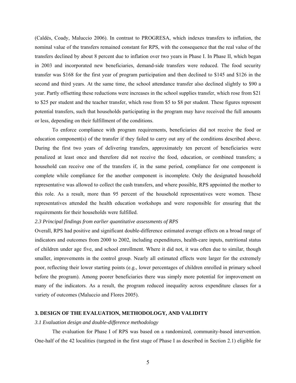(Caldés, Coady, Maluccio 2006). In contrast to PROGRESA, which indexes transfers to inflation, the nominal value of the transfers remained constant for RPS, with the consequence that the real value of the transfers declined by about 8 percent due to inflation over two years in Phase I. In Phase II, which began in 2003 and incorporated new beneficiaries, demand-side transfers were reduced. The food security transfer was \$168 for the first year of program participation and then declined to \$145 and \$126 in the second and third years. At the same time, the school attendance transfer also declined slightly to \$90 a year. Partly offsetting these reductions were increases in the school supplies transfer, which rose from \$21 to \$25 per student and the teacher transfer, which rose from \$5 to \$8 per student. These figures represent potential transfers, such that households participating in the program may have received the full amounts or less, depending on their fulfillment of the conditions.

To enforce compliance with program requirements, beneficiaries did not receive the food or education component(s) of the transfer if they failed to carry out any of the conditions described above. During the first two years of delivering transfers, approximately ten percent of beneficiaries were penalized at least once and therefore did not receive the food, education, or combined transfers; a household can receive one of the transfers if, in the same period, compliance for one component is complete while compliance for the another component is incomplete. Only the designated household representative was allowed to collect the cash transfers, and where possible, RPS appointed the mother to this role. As a result, more than 95 percent of the household representatives were women. These representatives attended the health education workshops and were responsible for ensuring that the requirements for their households were fulfilled.

#### *2.3 Principal findings from earlier quantitative assessments of RPS*

Overall, RPS had positive and significant double-difference estimated average effects on a broad range of indicators and outcomes from 2000 to 2002, including expenditures, health-care inputs, nutritional status of children under age five, and school enrollment. Where it did not, it was often due to similar, though smaller, improvements in the control group. Nearly all estimated effects were larger for the extremely poor, reflecting their lower starting points (e.g., lower percentages of children enrolled in primary school before the program). Among poorer beneficiaries there was simply more potential for improvement on many of the indicators. As a result, the program reduced inequality across expenditure classes for a variety of outcomes (Maluccio and Flores 2005).

#### **3. DESIGN OF THE EVALUATION, METHODOLOGY, AND VALIDITY**

#### *3.1 Evaluation design and double-difference methodology*

The evaluation for Phase I of RPS was based on a randomized, community-based intervention. One-half of the 42 localities (targeted in the first stage of Phase I as described in Section 2.1) eligible for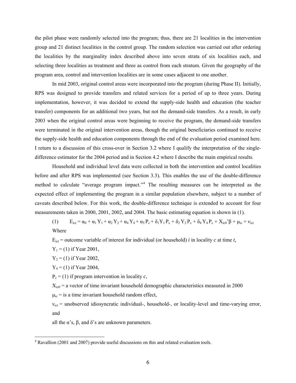<span id="page-7-0"></span>the pilot phase were randomly selected into the program; thus, there are 21 localities in the intervention group and 21 distinct localities in the control group. The random selection was carried out after ordering the localities by the marginality index described above into seven strata of six localities each, and selecting three localities as treatment and three as control from each stratum. Given the geography of the program area, control and intervention localities are in some cases adjacent to one another.

In mid 2003, original control areas were incorporated into the program (during Phase II). Initially, RPS was designed to provide transfers and related services for a period of up to three years. During implementation, however, it was decided to extend the supply-side health and education (the teacher transfer) components for an additional two years, but not the demand-side transfers. As a result, in early 2003 when the original control areas were beginning to receive the program, the demand-side transfers were terminated in the original intervention areas, though the original beneficiaries continued to receive the supply-side health and education components through the end of the evaluation period examined here. I return to a discussion of this cross-over in Section 3.2 where I qualify the interpretation of the singledifference estimator for the 2004 period and in Section 4.2 where I describe the main empirical results.

Household and individual level data were collected in both the intervention and control localities before and after RPS was implemented (see Section 3.3)*.* This enables the use of the double-difference method to calculate "average program impact."<sup>[4](#page-7-0)</sup> The resulting measures can be interpreted as the expected effect of implementing the program in a similar population elsewhere, subject to a number of caveats described below. For this work, the double-difference technique is extended to account for four measurements taken in 2000, 2001, 2002, and 2004. The basic estimating equation is shown in (1).

(1)  $E_{ict} = \alpha_0 + \alpha_1 Y_1 + \alpha_2 Y_2 + \alpha_4 Y_4 + \alpha_5 P_c + \delta_1 Y_1 P_c + \delta_2 Y_2 P_c + \delta_4 Y_4 P_c + X_{ic0}^2 \beta + \mu_{ic} + v_{ict}$ Where

 $E_{\text{ict}}$  = outcome variable of interest for individual (or household) *i* in locality *c* at time *t*,

 $Y_1 = (1)$  if Year 2001,

 $Y_2 = (1)$  if Year 2002,

 $Y_4 = (1)$  if Year 2004,

 $\overline{a}$ 

 $P_c = (1)$  if program intervention in locality *c*,

 $X_{i c0}$  = a vector of time invariant household demographic characteristics measured in 2000

 $\mu_{ic}$  = is a time invariant household random effect,

 $v_{\text{ict}}$  = unobserved idiosyncratic individual-, household-, or locality-level and time-varying error, and

all the α's,  $β$ , and  $δ$ 's are unknown parameters.

<sup>&</sup>lt;sup>4</sup> Ravallion (2001 and 2007) provide useful discussions on this and related evaluation tools.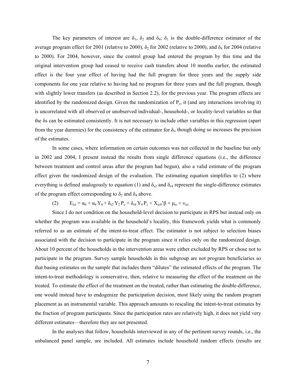The key parameters of interest are  $\delta_1$ ,  $\delta_2$  and  $\delta_4$ ;  $\delta_1$  is the double-difference estimator of the average program effect for 2001 (relative to 2000),  $\delta_2$  for 2002 (relative to 2000), and  $\delta_4$  for 2004 (relative to 2000). For 2004, however, since the control group had entered the program by this time and the original intervention group had ceased to receive cash transfers about 10 months earlier, the estimated effect is the four year effect of having had the full program for three years and the supply side components for one year relative to having had no program for three years and the full program, though with slightly lower transfers (as described in Section 2.2), for the previous year. The program effects are identified by the randomized design. Given the randomization of  $P_c$ , it (and any interactions involving it) is uncorrelated with all observed or unobserved individual-, household-, or locality-level variables so that the δs can be estimated consistently. It is not necessary to include other variables in this regression (apart from the year dummies) for the consistency of the estimator for  $\delta_i$ , though doing so increases the precision of the estimates.

In some cases, where information on certain outcomes was not collected in the baseline but only in 2002 and 2004, I present instead the results from single difference equations (i.e., the difference between treatment and control areas after the program had begun), also a valid estimate of the program effect given the randomized design of the evaluation. The estimating equation simplifies to (2) where everything is defined analogously to equation (1) and  $\delta_{s2}$  and  $\delta_{s4}$  represent the single-difference estimates of the program effect corresponding to  $\delta_2$  and  $\delta_4$  above.

(2)  $E_{\text{ict}} = \alpha_0 + \alpha_4 Y_4 + \delta_{s2} Y_2 P_c + \delta_{s4} Y_4 P_c + X_{\text{ic}0} \beta + \mu_{\text{ic}} + v_{\text{ict}}$ 

Since I do not condition on the household-level decision to participate in RPS but instead only on whether the program was available in the household's locality, this framework yields what is commonly referred to as an estimate of the intent-to-treat effect. The estimator is not subject to selection biases associated with the decision to participate in the program since it relies only on the randomized design. About 10 percent of the households in the intervention areas were either excluded by RPS or chose not to participate in the program. Survey sample households in this subgroup are not program beneficiaries so that basing estimates on the sample that includes them "dilutes" the estimated effects of the program. The intent-to-treat methodology is conservative, then, relative to measuring the effect of the treatment on the treated. To estimate the effect of the treatment on the treated, rather than estimating the double-difference, one would instead have to endogenize the participation decision, most likely using the random program placement as an instrumental variable. This approach amounts to rescaling the intent-to-treat estimates by the fraction of program participants. Since the participation rates are relatively high, it does not yield very different estimates––therefore they are not presented.

In the analyses that follow, households interviewed in any of the pertinent survey rounds, i.e., the unbalanced panel sample, are included. All estimates include household random effects (results are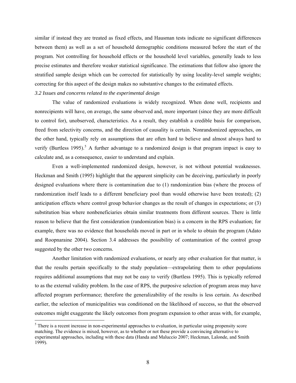<span id="page-9-0"></span>similar if instead they are treated as fixed effects, and Hausman tests indicate no significant differences between them) as well as a set of household demographic conditions measured before the start of the program. Not controlling for household effects or the household level variables, generally leads to less precise estimates and therefore weaker statistical significance. The estimations that follow also ignore the stratified sample design which can be corrected for statistically by using locality-level sample weights; correcting for this aspect of the design makes no substantive changes to the estimated effects.

#### *3.2 Issues and concerns related to the experimental design*

 $\overline{a}$ 

The value of randomized evaluations is widely recognized. When done well, recipients and nonrecipients will have, on average, the same observed and, more important (since they are more difficult to control for), unobserved, characteristics. As a result, they establish a credible basis for comparison, freed from selectivity concerns, and the direction of causality is certain. Nonrandomized approaches, on the other hand, typically rely on assumptions that are often hard to believe and almost always hard to verify (Burtless 199[5](#page-9-0)).<sup>5</sup> A further advantage to a randomized design is that program impact is easy to calculate and, as a consequence, easier to understand and explain.

Even a well-implemented randomized design, however, is not without potential weaknesses. Heckman and Smith (1995) highlight that the apparent simplicity can be deceiving, particularly in poorly designed evaluations where there is contamination due to (1) randomization bias (where the process of randomization itself leads to a different beneficiary pool than would otherwise have been treated); (2) anticipation effects where control group behavior changes as the result of changes in expectations; or (3) substitution bias where nonbeneficiaries obtain similar treatments from different sources. There is little reason to believe that the first consideration (randomization bias) is a concern in the RPS evaluation; for example, there was no evidence that households moved in part or in whole to obtain the program (Adato and Roopnaraine 2004). Section 3.4 addresses the possibility of contamination of the control group suggested by the other two concerns.

Another limitation with randomized evaluations, or nearly any other evaluation for that matter, is that the results pertain specifically to the study population—extrapolating them to other populations requires additional assumptions that may not be easy to verify (Burtless 1995). This is typically referred to as the external validity problem. In the case of RPS, the purposive selection of program areas may have affected program performance; therefore the generalizability of the results is less certain. As described earlier, the selection of municipalities was conditioned on the likelihood of success, so that the observed outcomes might exaggerate the likely outcomes from program expansion to other areas with, for example,

 $<sup>5</sup>$  There is a recent increase in non-experimental approaches to evaluation, in particular using propensity score</sup> matching. The evidence is mixed, however, as to whether or not these provide a convincing alternative to experimental approaches, including with these data (Handa and Maluccio 2007; Heckman, Lalonde, and Smith 1999).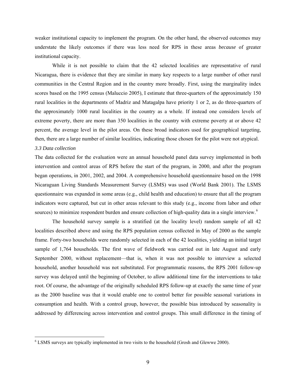<span id="page-10-0"></span>weaker institutional capacity to implement the program. On the other hand, the observed outcomes may understate the likely outcomes if there was less need for RPS in these areas *because* of greater institutional capacity.

While it is not possible to claim that the 42 selected localities are representative of rural Nicaragua, there is evidence that they are similar in many key respects to a large number of other rural communities in the Central Region and in the country more broadly. First, using the marginality index scores based on the 1995 census (Maluccio 2005), I estimate that three-quarters of the approximately 150 rural localities in the departments of Madriz and Matagalpa have priority 1 or 2, as do three-quarters of the approximately 1000 rural localities in the country as a whole. If instead one considers levels of extreme poverty, there are more than 350 localities in the country with extreme poverty at or above 42 percent, the average level in the pilot areas. On these broad indicators used for geographical targeting, then, there are a large number of similar localities, indicating those chosen for the pilot were not atypical.

#### *3.3 Data collection*

 $\overline{a}$ 

The data collected for the evaluation were an annual household panel data survey implemented in both intervention and control areas of RPS before the start of the program, in 2000, and after the program began operations, in 2001, 2002, and 2004. A comprehensive household questionnaire based on the 1998 Nicaraguan Living Standards Measurement Survey (LSMS) was used (World Bank 2001). The LSMS questionnaire was expanded in some areas (e.g., child health and education) to ensure that all the program indicators were captured, but cut in other areas relevant to this study (e.g., income from labor and other sources) to minimize respondent burden and ensure collection of high-quality data in a single interview.<sup>[6](#page-10-0)</sup>

The household survey sample is a stratified (at the locality level) random sample of all 42 localities described above and using the RPS population census collected in May of 2000 as the sample frame. Forty-two households were randomly selected in each of the 42 localities, yielding an initial target sample of 1,764 households. The first wave of fieldwork was carried out in late August and early September 2000, without replacement—that is, when it was not possible to interview a selected household, another household was not substituted. For programmatic reasons, the RPS 2001 follow-up survey was delayed until the beginning of October, to allow additional time for the interventions to take root. Of course, the advantage of the originally scheduled RPS follow-up at exactly the same time of year as the 2000 baseline was that it would enable one to control better for possible seasonal variations in consumption and health. With a control group, however, the possible bias introduced by seasonality is addressed by differencing across intervention and control groups. This small difference in the timing of

 $6$  LSMS surveys are typically implemented in two visits to the household (Grosh and Glewwe 2000).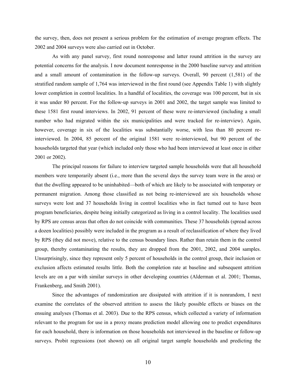the survey, then, does not present a serious problem for the estimation of average program effects. The 2002 and 2004 surveys were also carried out in October.

As with any panel survey, first round nonresponse and latter round attrition in the survey are potential concerns for the analysis. I now document nonresponse in the 2000 baseline survey and attrition and a small amount of contamination in the follow-up surveys. Overall, 90 percent (1,581) of the stratified random sample of 1,764 was interviewed in the first round (see Appendix Table 1) with slightly lower completion in control localities. In a handful of localities, the coverage was 100 percent, but in six it was under 80 percent. For the follow-up surveys in 2001 and 2002, the target sample was limited to these 1581 first round interviews. In 2002, 91 percent of these were re-interviewed (including a small number who had migrated within the six municipalities and were tracked for re-interview). Again, however, coverage in six of the localities was substantially worse, with less than 80 percent reinterviewed. In 2004, 85 percent of the original 1581 were re-interviewed, but 90 percent of the households targeted that year (which included only those who had been interviewed at least once in either 2001 or 2002).

The principal reasons for failure to interview targeted sample households were that all household members were temporarily absent (i.e., more than the several days the survey team were in the area) or that the dwelling appeared to be uninhabited—both of which are likely to be associated with temporary or permanent migration. Among those classified as not being re-interviewed are six households whose surveys were lost and 37 households living in control localities who in fact turned out to have been program beneficiaries, despite being initially categorized as living in a control locality. The localities used by RPS are census areas that often do not coincide with communities. These 37 households (spread across a dozen localities) possibly were included in the program as a result of reclassification of where they lived by RPS (they did not move), relative to the census boundary lines. Rather than retain them in the control group, thereby contaminating the results, they are dropped from the 2001, 2002, and 2004 samples. Unsurprisingly, since they represent only 5 percent of households in the control group, their inclusion or exclusion affects estimated results little. Both the completion rate at baseline and subsequent attrition levels are on a par with similar surveys in other developing countries (Alderman et al. 2001; Thomas, Frankenberg, and Smith 2001).

Since the advantages of randomization are dissipated with attrition if it is nonrandom, I next examine the correlates of the observed attrition to assess the likely possible effects or biases on the ensuing analyses (Thomas et al. 2003). Due to the RPS census, which collected a variety of information relevant to the program for use in a proxy means prediction model allowing one to predict expenditures for each household, there is information on those households not interviewed in the baseline or follow-up surveys. Probit regressions (not shown) on all original target sample households and predicting the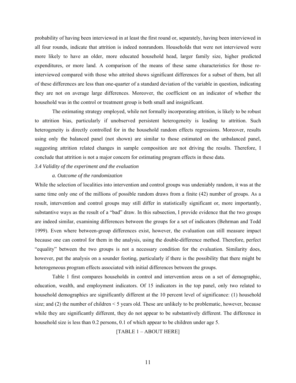probability of having been interviewed in at least the first round or, separately, having been interviewed in all four rounds, indicate that attrition is indeed nonrandom. Households that were not interviewed were more likely to have an older, more educated household head, larger family size, higher predicted expenditures, or more land. A comparison of the means of these same characteristics for those reinterviewed compared with those who attrited shows significant differences for a subset of them, but all of these differences are less than one-quarter of a standard deviation of the variable in question, indicating they are not on average large differences. Moreover, the coefficient on an indicator of whether the household was in the control or treatment group is both small and insignificant.

The estimating strategy employed, while not formally incorporating attrition, is likely to be robust to attrition bias, particularly if unobserved persistent heterogeneity is leading to attrition. Such heterogeneity is directly controlled for in the household random effects regressions. Moreover, results using only the balanced panel (not shown) are similar to those estimated on the unbalanced panel, suggesting attrition related changes in sample composition are not driving the results. Therefore, I conclude that attrition is not a major concern for estimating program effects in these data.

#### *3.4 Validity of the experiment and the evaluation*

#### *a. Outcome of the randomization*

While the selection of localities into intervention and control groups was undeniably random, it was at the same time only one of the millions of possible random draws from a finite (42) number of groups. As a result, intervention and control groups may still differ in statistically significant or, more importantly, substantive ways as the result of a "bad" draw. In this subsection, I provide evidence that the two groups are indeed similar, examining differences between the groups for a set of indicators (Behrman and Todd 1999). Even where between-group differences exist, however, the evaluation can still measure impact because one can control for them in the analysis, using the double-difference method. Therefore, perfect "equality" between the two groups is not a necessary condition for the evaluation. Similarity does, however, put the analysis on a sounder footing, particularly if there is the possibility that there might be heterogeneous program effects associated with initial differences between the groups.

 Table 1 first compares households in control and intervention areas on a set of demographic, education, wealth, and employment indicators. Of 15 indicators in the top panel, only two related to household demographics are significantly different at the 10 percent level of significance: (1) household size; and (2) the number of children < 5 years old. These are unlikely to be problematic, however, because while they are significantly different, they do not appear to be substantively different. The difference in household size is less than 0.2 persons, 0.1 of which appear to be children under age 5.

#### [TABLE 1 – ABOUT HERE]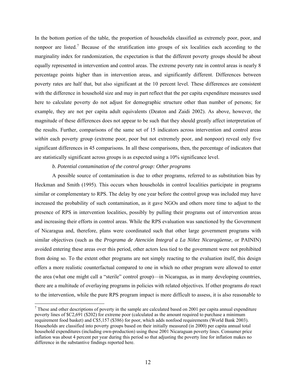<span id="page-13-0"></span> In the bottom portion of the table, the proportion of households classified as extremely poor, poor, and nonpoor are listed.<sup>[7](#page-13-0)</sup> Because of the stratification into groups of six localities each according to the marginality index for randomization, the expectation is that the different poverty groups should be about equally represented in intervention and control areas. The extreme poverty rate in control areas is nearly 8 percentage points higher than in intervention areas, and significantly different. Differences between poverty rates are half that, but also significant at the 10 percent level. These differences are consistent with the difference in household size and may in part reflect that the per capita expenditure measures used here to calculate poverty do not adjust for demographic structure other than number of persons; for example, they are not per capita adult equivalents (Deaton and Zaidi 2002). As above, however, the magnitude of these differences does not appear to be such that they should greatly affect interpretation of the results. Further, comparisons of the same set of 15 indicators across intervention and control areas *within* each poverty group (extreme poor, poor but not extremely poor, and nonpoor) reveal only five significant differences in 45 comparisons. In all these comparisons, then, the percentage of indicators that are statistically significant across groups is as expected using a 10% significance level.

#### *b. Potential contamination of the control group: Other programs*

 $\overline{a}$ 

A possible source of contamination is due to other programs, referred to as substitution bias by Heckman and Smith (1995). This occurs when households in control localities participate in programs similar or complementary to RPS. The delay by one year before the control group was included may have increased the probability of such contamination, as it gave NGOs and others more time to adjust to the presence of RPS in intervention localities, possibly by pulling their programs out of intervention areas and increasing their efforts in control areas. While the RPS evaluation was sanctioned by the Government of Nicaragua and, therefore, plans were coordinated such that other large government programs with similar objectives (such as the *Programa de Atención Integral a La Niñez Nicaragüense*, or PAININ) avoided entering these areas over this period, other actors less tied to the government were not prohibited from doing so. To the extent other programs are not simply reacting to the evaluation itself, this design offers a more realistic counterfactual compared to one in which no other program were allowed to enter the area (what one might call a "sterile" control group)—in Nicaragua, as in many developing countries, there are a multitude of overlaying programs in policies with related objectives. If other programs *do* react to the intervention, while the pure RPS program impact is more difficult to assess, it is also reasonable to

 $<sup>7</sup>$  These and other descriptions of poverty in the sample are calculated based on 2001 per capita annual expenditure</sup> poverty lines of \$C2,691 (\$202) for extreme poor (calculated as the amount required to purchase a minimum requirement food basket) and C\$5,157 (\$386) for poor, which adds nonfood requirements (World Bank 2003). Households are classified into poverty groups based on their initially measured (in 2000) per capita annual total household expenditures (including own-production) using these 2001 Nicaraguan poverty lines. Consumer price inflation was about 4 percent per year during this period so that adjusting the poverty line for inflation makes no difference in the substantive findings reported here.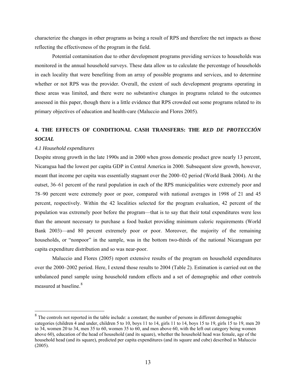<span id="page-14-0"></span>characterize the changes in other programs as being a result of RPS and therefore the net impacts as those reflecting the effectiveness of the program in the field.

Potential contamination due to other development programs providing services to households was monitored in the annual household surveys. These data allow us to calculate the percentage of households in each locality that were benefiting from an array of possible programs and services, and to determine whether or not RPS was the provider. Overall, the extent of such development programs operating in these areas was limited, and there were no substantive changes in programs related to the outcomes assessed in this paper, though there is a little evidence that RPS crowded out some programs related to its primary objectives of education and health-care (Maluccio and Flores 2005).

## **4. THE EFFECTS OF CONDITIONAL CASH TRANSFERS: THE** *RED DE PROTECCIÓN SOCIAL*

#### *4.1 Household expenditures*

Despite strong growth in the late 1990s and in 2000 when gross domestic product grew nearly 13 percent, Nicaragua had the lowest per capita GDP in Central America in 2000. Subsequent slow growth, however, meant that income per capita was essentially stagnant over the 2000–02 period (World Bank 2004). At the outset, 36–61 percent of the rural population in each of the RPS municipalities were extremely poor and 78–90 percent were extremely poor or poor, compared with national averages in 1998 of 21 and 45 percent, respectively. Within the 42 localities selected for the program evaluation, 42 percent of the population was extremely poor before the program—that is to say that their total expenditures were less than the amount necessary to purchase a food basket providing minimum caloric requirements (World Bank 2003)—and 80 percent extremely poor or poor. Moreover, the majority of the remaining households, or "nonpoor" in the sample, was in the bottom two-thirds of the national Nicaraguan per capita expenditure distribution and so was near-poor.

Maluccio and Flores (2005) report extensive results of the program on household expenditures over the 2000–2002 period. Here, I extend those results to 2004 (Table 2). Estimation is carried out on the unbalanced panel sample using household random effects and a set of demographic and other controls measured at baseline.<sup>[8](#page-14-0)</sup>

<sup>&</sup>lt;sup>8</sup> The controls not reported in the table include: a constant; the number of persons in different demographic categories (children 4 and under, children 5 to 10, boys 11 to 14, girls 11 to 14, boys 15 to 19, girls 15 to 19, men 20 to 34, women 20 to 34, men 35 to 60, women 35 to 60, and men above 60, with the left out category being women above 60), education of the head of household (and its square), whether the household head was female, age of the household head (and its square), predicted per capita expenditures (and its square and cube) described in Maluccio (2005).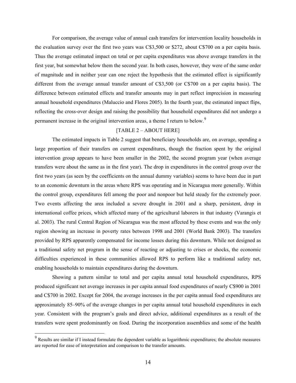<span id="page-15-0"></span>For comparison, the average value of annual cash transfers for intervention locality households in the evaluation survey over the first two years was C\$3,500 or \$272, about C\$700 on a per capita basis. Thus the average estimated impact on total or per capita expenditures was above average transfers in the first year, but somewhat below them the second year. In both cases, however, they were of the same order of magnitude and in neither year can one reject the hypothesis that the estimated effect is significantly different from the average annual transfer amount of C\$3,500 (or C\$700 on a per capita basis). The difference between estimated effects and transfer amounts may in part reflect imprecision in measuring annual household expenditures (Maluccio and Flores 2005). In the fourth year, the estimated impact flips, reflecting the cross-over design and raising the possibility that household expenditures did not undergo a permanent increase in the original intervention areas, a theme I return to below.<sup>[9](#page-15-0)</sup>

### [TABLE 2 – ABOUT HERE]

The estimated impacts in Table 2 suggest that beneficiary households are, on average, spending a large proportion of their transfers on current expenditures, though the fraction spent by the original intervention group appears to have been smaller in the 2002, the second program year (when average transfers were about the same as in the first year). The drop in expenditures in the control group over the first two years (as seen by the coefficients on the annual dummy variables) seems to have been due in part to an economic downturn in the areas where RPS was operating and in Nicaragua more generally. Within the control group, expenditures fell among the poor and nonpoor but held steady for the extremely poor. Two events affecting the area included a severe drought in 2001 and a sharp, persistent, drop in international coffee prices, which affected many of the agricultural laborers in that industry (Varangis et al. 2003). The rural Central Region of Nicaragua was the most affected by these events and was the only region showing an increase in poverty rates between 1998 and 2001 (World Bank 2003). The transfers provided by RPS apparently compensated for income losses during this downturn. While not designed as a traditional safety net program in the sense of reacting or adjusting to crises or shocks, the economic difficulties experienced in these communities allowed RPS to perform like a traditional safety net, enabling households to maintain expenditures during the downturn.

Showing a pattern similar to total and per capita annual total household expenditures, RPS produced significant net average increases in per capita annual food expenditures of nearly C\$900 in 2001 and C\$700 in 2002. Except for 2004, the average increases in the per capita annual food expenditures are approximately 85–90% of the average changes in per capita annual total household expenditures in each year. Consistent with the program's goals and direct advice, additional expenditures as a result of the transfers were spent predominantly on food. During the incorporation assemblies and some of the health

<sup>&</sup>lt;sup>9</sup><br><sup>9</sup> Results are similar if I instead formulate the dependent variable as logarithmic expenditures; the absolute measures are reported for ease of interpretation and comparison to the transfer amounts.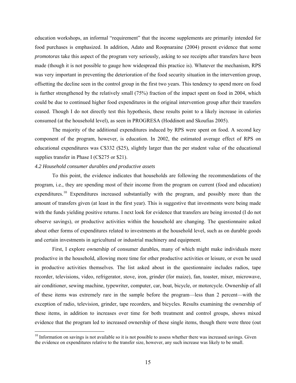<span id="page-16-0"></span>education workshops, an informal "requirement" that the income supplements are primarily intended for food purchases is emphasized. In addition, Adato and Roopnaraine (2004) present evidence that some *promotoras* take this aspect of the program very seriously, asking to see receipts after transfers have been made (though it is not possible to gauge how widespread this practice is). Whatever the mechanism, RPS was very important in preventing the deterioration of the food security situation in the intervention group, offsetting the decline seen in the control group in the first two years. This tendency to spend more on food is further strengthened by the relatively small (75%) fraction of the impact spent on food in 2004, which could be due to continued higher food expenditures in the original intervention group after their transfers ceased. Though I do not directly test this hypothesis, these results point to a likely increase in calories consumed (at the household level), as seen in PROGRESA (Hoddinott and Skoufias 2005).

The majority of the additional expenditures induced by RPS were spent on food. A second key component of the program, however, is education. In 2002, the estimated average effect of RPS on educational expenditures was C\$332 (\$25), slightly larger than the per student value of the educational supplies transfer in Phase I (C\$275 or \$21).

#### *4.2 Household consumer durables and productive assets*

 $\overline{a}$ 

To this point, the evidence indicates that households are following the recommendations of the program, i.e., they are spending most of their income from the program on current (food and education) expenditures.<sup>[10](#page-16-0)</sup> Expenditures increased substantially with the program, and possibly more than the amount of transfers given (at least in the first year). This is suggestive that investments were being made with the funds yielding positive returns. I next look for evidence that transfers are being invested (I do not observe savings), or productive activities within the household are changing. The questionnaire asked about other forms of expenditures related to investments at the household level, such as on durable goods and certain investments in agricultural or industrial machinery and equipment.

First, I explore ownership of consumer durables, many of which might make individuals more productive in the household, allowing more time for other productive activities or leisure, or even be used in productive activities themselves. The list asked about in the questionnaire includes radios, tape recorder, televisions, video, refrigerator, stove, iron, grinder (for maize), fan, toaster, mixer, microwave, air conditioner, sewing machine, typewriter, computer, car, boat, bicycle, or motorcycle. Ownership of all of these items was extremely rare in the sample before the program––less than 2 percent––with the exception of radio, television, grinder, tape recorders, and bicycles. Results examining the ownership of these items, in addition to increases over time for both treatment and control groups, shows mixed evidence that the program led to increased ownership of these single items, though there were three (out

<sup>&</sup>lt;sup>10</sup> Information on savings is not available so it is not possible to assess whether there was increased savings. Given the evidence on expenditures relative to the transfer size, however, any such increase was likely to be small.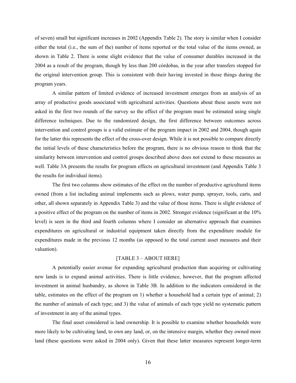of seven) small but significant increases in 2002 (Appendix Table 2). The story is similar when I consider either the total (i.e., the sum of the) number of items reported or the total value of the items owned, as shown in Table 2. There is some slight evidence that the value of consumer durables increased in the 2004 as a result of the program, though by less than 200 córdobas, in the year after transfers stopped for the original intervention group. This is consistent with their having invested in those things during the program years.

A similar pattern of limited evidence of increased investment emerges from an analysis of an array of productive goods associated with agricultural activities. Questions about these assets were not asked in the first two rounds of the survey so the effect of the program must be estimated using single difference techniques. Due to the randomized design, the first difference between outcomes across intervention and control groups is a valid estimate of the program impact in 2002 and 2004, though again for the latter this represents the effect of the cross-over design. While it is not possible to compare directly the initial levels of these characteristics before the program, there is no obvious reason to think that the similarity between intervention and control groups described above does not extend to these measures as well. Table 3A presents the results for program effects on agricultural investment (and Appendix Table 3 the results for individual items).

The first two columns show estimates of the effect on the number of productive agricultural items owned (from a list including animal implements such as plows, water pump, sprayer, tools, carts, and other, all shown separately in Appendix Table 3) and the value of those items. There is slight evidence of a positive effect of the program on the number of items in 2002. Stronger evidence (significant at the 10% level) is seen in the third and fourth columns where I consider an alternative approach that examines expenditures on agricultural or industrial equipment taken directly from the expenditure module for expenditures made in the previous 12 months (as opposed to the total current asset measures and their valuation).

#### [TABLE 3 – ABOUT HERE]

A potentially easier avenue for expanding agricultural production than acquiring or cultivating new lands is to expand animal activities. There is little evidence, however, that the program affected investment in animal husbandry, as shown in Table 3B. In addition to the indicators considered in the table, estimates on the effect of the program on 1) whether a household had a certain type of animal; 2) the number of animals of each type; and 3) the value of animals of each type yield no systematic pattern of investment in any of the animal types.

The final asset considered is land ownership. It is possible to examine whether households were more likely to be cultivating land, to own any land, or, on the intensive margin, whether they owned more land (these questions were asked in 2004 only). Given that these latter measures represent longer-term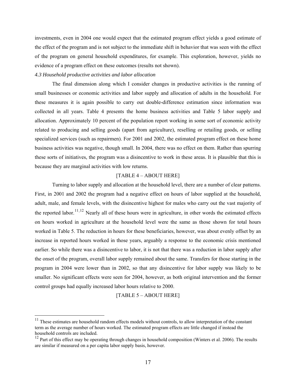<span id="page-18-0"></span>investments, even in 2004 one would expect that the estimated program effect yields a good estimate of the effect of the program and is not subject to the immediate shift in behavior that was seen with the effect of the program on general household expenditures, for example. This exploration, however, yields no evidence of a program effect on these outcomes (results not shown).

#### *4.3 Household productive activities and labor allocation*

 $\overline{a}$ 

The final dimension along which I consider changes in productive activities is the running of small businesses or economic activities and labor supply and allocation of adults in the household. For these measures it is again possible to carry out double-difference estimation since information was collected in all years. Table 4 presents the home business activities and Table 5 labor supply and allocation. Approximately 10 percent of the population report working in some sort of economic activity related to producing and selling goods (apart from agriculture), reselling or retailing goods, or selling specialized services (such as repairmen). For 2001 and 2002, the estimated program effect on these home business activities was negative, though small. In 2004, there was no effect on them. Rather than spurring these sorts of initiatives, the program was a disincentive to work in these areas. It is plausible that this is because they are marginal activities with low returns.

#### [TABLE 4 – ABOUT HERE]

Turning to labor supply and allocation at the household level, there are a number of clear patterns. First, in 2001 and 2002 the program had a negative effect on hours of labor supplied at the household, adult, male, and female levels, with the disincentive highest for males who carry out the vast majority of the reported labor.<sup>[11](#page-18-0),[12](#page-18-0)</sup> Nearly all of these hours were in agriculture, in other words the estimated effects on hours worked in agriculture at the household level were the same as those shown for total hours worked in Table 5. The reduction in hours for these beneficiaries, however, was about evenly offset by an increase in reported hours worked in those years, arguably a response to the economic crisis mentioned earlier. So while there was a disincentive to labor, it is not that there was a reduction in labor supply after the onset of the program, overall labor supply remained about the same. Transfers for those starting in the program in 2004 were lower than in 2002, so that any disincentive for labor supply was likely to be smaller. No significant effects were seen for 2004, however, as both original intervention and the former control groups had equally increased labor hours relative to 2000.

[TABLE 5 – ABOUT HERE]

 $11$  These estimates are household random effects models without controls, to allow interpretation of the constant term as the average number of hours worked. The estimated program effects are little changed if instead the household controls are included.

 $12$  Part of this effect may be operating through changes in household composition (Winters et al. 2006). The results are similar if measured on a per capita labor supply basis, however.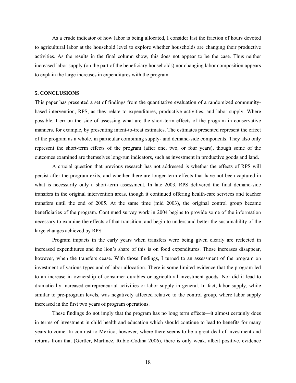As a crude indicator of how labor is being allocated, I consider last the fraction of hours devoted to agricultural labor at the household level to explore whether households are changing their productive activities. As the results in the final column show, this does not appear to be the case. Thus neither increased labor supply (on the part of the beneficiary households) nor changing labor composition appears to explain the large increases in expenditures with the program.

#### **5. CONCLUSIONS**

This paper has presented a set of findings from the quantitative evaluation of a randomized communitybased intervention, RPS, as they relate to expenditures, productive activities, and labor supply. Where possible, I err on the side of assessing what are the short-term effects of the program in conservative manners, for example, by presenting intent-to-treat estimates. The estimates presented represent the effect of the program as a whole, in particular combining supply- and demand-side components. They also only represent the short-term effects of the program (after one, two, or four years), though some of the outcomes examined are themselves long-run indicators, such as investment in productive goods and land.

A crucial question that previous research has not addressed is whether the effects of RPS will persist after the program exits, and whether there are longer-term effects that have not been captured in what is necessarily only a short-term assessment. In late 2003, RPS delivered the final demand-side transfers in the original intervention areas, though it continued offering health-care services and teacher transfers until the end of 2005. At the same time (mid 2003), the original control group became beneficiaries of the program. Continued survey work in 2004 begins to provide some of the information necessary to examine the effects of that transition, and begin to understand better the sustainability of the large changes achieved by RPS.

Program impacts in the early years when transfers were being given clearly are reflected in increased expenditures and the lion's share of this is on food expenditures. Those increases disappear, however, when the transfers cease. With those findings, I turned to an assessment of the program on investment of various types and of labor allocation. There is some limited evidence that the program led to an increase in ownership of consumer durables or agricultural investment goods. Nor did it lead to dramatically increased entrepreneurial activities or labor supply in general. In fact, labor supply, while similar to pre-program levels, was negatively affected relative to the control group, where labor supply increased in the first two years of program operations.

These findings do not imply that the program has no long term effects––it almost certainly does in terms of investment in child health and education which should continue to lead to benefits for many years to come. In contrast to Mexico, however, where there seems to be a great deal of investment and returns from that (Gertler, Martinez, Rubio-Codina 2006), there is only weak, albeit positive, evidence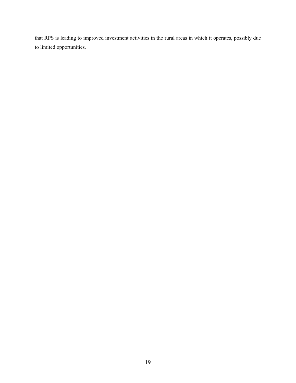that RPS is leading to improved investment activities in the rural areas in which it operates, possibly due to limited opportunities.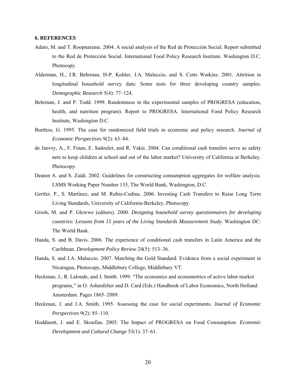#### **6. REFERENCES**

- Adato, M. and T. Roopnaraine. 2004. A social analysis of the Red de Protección Social. Report submitted to the Red de Protección Social. International Food Policy Research Institute. Washington D.C. Photocopy.
- Alderman, H., J.R. Behrman, H-P. Kohler, J.A. Maluccio, and S. Cotts Watkins. 2001. Attrition in longitudinal household survey data: Some tests for three developing country samples. *Demographic Research* 5(4): 77–124.
- Behrman, J. and P. Todd. 1999. Randomness in the experimental samples of PROGRESA (education, health, and nutrition program). Report to PROGRESA. International Food Policy Research Institute, Washington D.C.
- Burtless, G. 1995. The case for randomized field trials in economic and policy research. *Journal of Economic Perspectives* 9(2): 63–84.
- de Janvry, A., F. Finan, E. Sadoulet, and R. Vakis. 2004. Can conditional cash transfers serve as safety nets to keep children at school and out of the labor market? University of California at Berkeley. Photocopy.
- Deaton A. and S. Zaidi. 2002. Guidelines for constructing consumption aggregates for welfare analysis. LSMS Working Paper Number 135, The World Bank, Washington, D.C.
- Gertler, P., S. Martinez, and M. Rubio-Codina. 2006. Investing Cash Transfers to Raise Long Term Living Standards, University of California-Berkeley, Photocopy.
- Grosh, M. and P. Glewwe (editors). 2000. *Designing household survey questionnaires for developing countries: Lessons from 15 years of the Living Standards Measurement Study.* Washington DC: The World Bank.
- Handa, S. and B. Davis. 2006. The experience of conditional cash transfers in Latin America and the Caribbean. *Development Policy Review* 24(5): 513–36.
- Handa, S. and J.A. Maluccio. 2007. Matching the Gold Standard: Evidence from a social experiment in Nicaragua, Photocopy, Middlebury College, Middlebury VT.
- Heckman, J., R. Lalonde, and J. Smith. 1999. "The economics and econometrics of active labor market programs," in O. Ashenfelter and D. Card (Eds.) Handbook of Labor Economics, North Holland: Amsterdam. Pages 1865–2089.
- Heckman, J. and J.A. Smith. 1995. Assessing the case for social experiments. *Journal of Economic Perspectives* 9(2): 85–110.
- Hoddinott, J. and E. Skoufias. 2005. The Impact of PROGRESA on Food Consumption. *Economic Development and Cultural Change* 53(1): 37–61.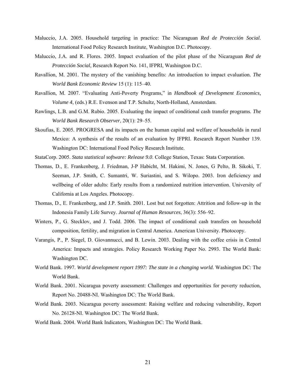- Maluccio, J.A. 2005. Household targeting in practice: The Nicaraguan *Red de Protección Social*. International Food Policy Research Institute, Washington D.C. Photocopy.
- Maluccio, J.A. and R. Flores. 2005. Impact evaluation of the pilot phase of the Nicaraguan *Red de Protección Social*, Research Report No. 141, IFPRI, Washington D.C.
- Ravallion, M. 2001. The mystery of the vanishing benefits: An introduction to impact evaluation. *The World Bank Economic Review* 15 (1): 115–40.
- Ravallion, M. 2007. "Evaluating Anti-Poverty Programs," in *Handbook of Development Economics, Volume 4*, (eds.) R.E. Evenson and T.P. Schultz, North-Holland, Amsterdam.
- Rawlings, L.B. and G.M. Rubio. 2005. Evaluating the impact of conditional cash transfer programs. *The World Bank Research Observer*, 20(1): 29–55.
- Skoufias, E. 2005. PROGRESA and its impacts on the human capital and welfare of households in rural Mexico: A synthesis of the results of an evaluation by IFPRI. Research Report Number 139. Washington DC: International Food Policy Research Institute.
- StataCorp. 2005. *Stata statistical software: Release 9.0*. College Station, Texas: Stata Corporation.
- Thomas, D., E. Frankenberg, J. Friedman, J-P Habicht, M. Hakimi, N. Jones, G Pelto, B. Sikoki, T. Seeman, J.P. Smith, C. Sumantri, W. Suriastini, and S. Wilopo. 2003. Iron deficiency and wellbeing of older adults: Early results from a randomized nutrition intervention. University of California at Los Angeles. Photocopy.
- Thomas, D., E. Frankenberg, and J.P. Smith. 2001. Lost but not forgotten: Attrition and follow-up in the Indonesia Family Life Survey. *Journal of Human Resources*, 36(3): 556–92.
- Winters, P., G. Stecklov, and J. Todd. 2006. The impact of conditional cash transfers on household composition, fertility, and migration in Central America. American University. Photocopy.
- Varangis, P., P. Siegel, D. Giovannucci, and B. Lewin. 2003. Dealing with the coffee crisis in Central America: Impacts and strategies. Policy Research Working Paper No. 2993. The World Bank: Washington DC.
- World Bank. 1997. *World development report 1997: The state in a changing world.* Washington DC: The World Bank.
- World Bank. 2001. Nicaragua poverty assessment: Challenges and opportunities for poverty reduction, Report No. 20488-NI. Washington DC: The World Bank.
- World Bank. 2003. Nicaragua poverty assessment: Raising welfare and reducing vulnerability, Report No. 26128-NI. Washington DC: The World Bank.
- World Bank. 2004. World Bank Indicators, Washington DC: The World Bank.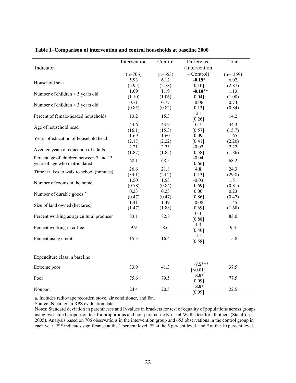| Indicator                                 | Intervention | Control   | Difference<br>(Intervention) | Total      |
|-------------------------------------------|--------------|-----------|------------------------------|------------|
|                                           | $(n=706)$    | $(n=653)$ | $-$ Control)                 | $(n=1359)$ |
| Household size                            | 5.93         | 6.12      | $-0.19*$                     | 6.02       |
|                                           | (2.95)       | (2.78)    | [0.10]                       | (2.87)     |
| Number of children $\leq$ 5 years old     | 1.09         | 1.19      | $-0.10**$                    | 1.13       |
|                                           | (1.10)       | (1.06)    | [0.04]                       | (1.08)     |
| Number of children $\leq$ 3 years old     | 0.71         | 0.77      | $-0.06$                      | 0.74       |
|                                           | (0.85)       | (0.82)    | [0.13]                       | (0.84)     |
| Percent of female-headed households       | 13.2         | 15.3      | $-2.1$<br>[0.26]             | 14.2       |
| Age of household head                     | 44.6         | 43.9      | 0.7                          | 44.3       |
|                                           | (16.1)       | (15.3)    | [0.57]                       | (15.7)     |
| Years of education of household head      | 1.69         | 1.60      | 0.09                         | 1.65       |
|                                           | (2.17)       | (2.22)    | [0.41]                       | (2.20)     |
| Average years of education of adults      | 2.21         | 2.23      | $-0.02$                      | 2.22       |
|                                           | (1.87)       | (1.85)    | [0.58]                       | (1.86)     |
| Percentage of children between 7 and 13   | 68.1         | 68.5      | $-0.04$                      | 68.2       |
| years of age who matriculated             | 26.6         | 21.8      | [0.66]<br>4.8                | 24.3       |
| Time it takes to walk to school (minutes) | (34.1)       | (24.2)    | [0.13]                       | (29.8)     |
|                                           | 1.50         | 1.53      | $-0.03$                      | 1.51       |
| Number of rooms in the home               | (0.78)       | (0.84)    | [0.69]                       | (0.81)     |
|                                           | 0.23         | 0.23      | 0.00                         | 0.23       |
| Number of durable goods <sup>a</sup>      | (0.47)       | (0.47)    | [0.86]                       | (0.47)     |
|                                           | 1.41         | 1.49      | $-0.08$                      | 1.45       |
| Size of land owned (hectares)             | (1.47)       | (1.88)    | [0.69]                       | (1.68)     |
|                                           |              |           | 0.3                          |            |
| Percent working as agricultural producer  | 83.1         | 82.8      | $[0.88]$                     | 83.0       |
| Percent working in coffee                 | 9.9          | 8.6       | 1.3                          | 9.3        |
|                                           |              |           | [0.40]                       |            |
| Percent using credit                      | 15.3         | 16.4      | $-1.1$<br>$[0.58]$           | 15.8       |
|                                           |              |           |                              |            |
| Expenditure class in baseline             |              |           |                              |            |
| Extreme poor                              | 33.9         | 41.3      | $-7.5***$<br>[<0.01]         | 37.5       |
| Poor                                      | 75.6         | 79.5      | $-3.9*$<br>[0.09]            | 77.5       |
| Nonpoor                                   | 24.4         | 20.5      | $-3.9*$<br>[0.09]            | 22.5       |

**Table 1**–**Comparison of intervention and control households at baseline 2000** 

a. Includes radio/tape recorder, stove, air conditioner, and fan.

Source: Nicaraguan RPS evaluation data.

Notes: Standard deviation in parentheses and P-values in brackets for test of equality of populations across groups using two-tailed proportion test for proportions and non-parametric Kruskal-Wallis test for all others (StataCorp 2005). Analysis based on 706 observations in the intervention group and 653 observations in the control group in each year. \*\*\* indicates significance at the 1 percent level, \*\* at the 5 percent level, and \* at the 10 percent level.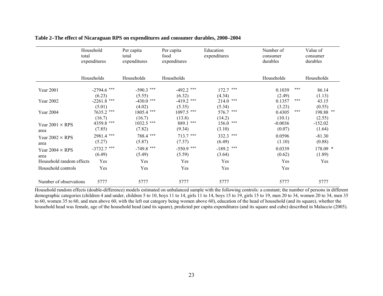|                                | Household<br>total<br>expenditures | Per capita<br>total<br>expenditures | Per capita<br>food<br>expenditures | Education<br>expenditures     | Number of<br>consumer<br>durables | Value of<br>consumer<br>durables     |
|--------------------------------|------------------------------------|-------------------------------------|------------------------------------|-------------------------------|-----------------------------------|--------------------------------------|
|                                | Households                         | Households                          | Households                         |                               | Households                        | Households                           |
| Year 2001                      | $-2794.6$ ***<br>(6.23)            | $-590.3$ ***<br>(5.55)              | $-492.2$ ***<br>(6.32)             | $172.7$ ***<br>(4.34)         | 0.1039<br>(2.49)                  | ***<br>86.14<br>(1.13)               |
| Year 2002                      | $-2261.8$ ***<br>(5.01)            | $-430.0$ ***                        | $-419.2$ ***                       | $214.0$ ***                   | 0.1357                            | ***<br>43.15                         |
| Year 2004                      | 7635.2 ***<br>(16.7)               | (4.02)<br>1805.4 ***<br>(16.7)      | (5.35)<br>1097.5 ***<br>(13.8)     | (5.34)<br>576.7 ***<br>(14.2) | (3.23)<br>0.4305<br>(10.1)        | (0.55)<br>***<br>198.88 **<br>(2.55) |
| Year $2001 \times RPS$<br>area | 4359.8 ***<br>(7.85)               | 1032.5 ***<br>(7.82)                | 889.1 ***<br>(9.34)                | $156.0$ ***<br>(3.10)         | $-0.0036$<br>(0.07)               | $-152.02$<br>(1.64)                  |
| Year $2002 \times RPS$<br>area | 2981.4 ***<br>(5.27)               | 788.4 ***<br>(5.87)                 | $713.7$ ***<br>(7.37)              | 332.3 ***<br>(6.49)           | 0.0596<br>(1.10)                  | $-81.30$<br>(0.88)                   |
| Year $2004 \times RPS$<br>area | $-3732.7$ ***<br>(6.49)            | $-749.8$ ***<br>(5.49)              | $-550.9$ ***<br>(5.59)             | $-189.2$ ***<br>(3.64)        | 0.0339<br>(0.62)                  | 178.09 *<br>(1.89)                   |
| Household random effects       | Yes                                | Yes                                 | Yes                                | Yes                           | Yes                               | Yes                                  |
| Household controls             | Yes                                | Yes                                 | Yes                                | Yes                           | Yes                               |                                      |
| Number of observations         | 5777                               | 5777                                | 5777                               | 5777                          | 5777                              | 5777                                 |

#### **Table 2***–***The effect of Nicaraguan RPS on expenditures and consumer durables, 2000–2004**

Household random effects (double-difference) models estimated on unbalanced sample with the following controls: a constant; the number of persons in different demographic categories (children 4 and under, children 5 to 10, boys 11 to 14, girls 11 to 14, boys 15 to 19, girls 15 to 19, men 20 to 34, women 20 to 34, men 35 to 60, women 35 to 60, and men above 60, with the left out category being women above 60), education of the head of household (and its square), whether the household head was female, age of the household head (and its square), predicted per capita expenditures (and its square and cube) described in Maluccio (2005).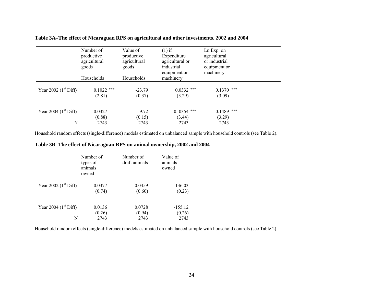|  |  | Table 3A-The effect of Nicaraguan RPS on agricultural and other investments, 2002 and 2004 |  |  |  |  |
|--|--|--------------------------------------------------------------------------------------------|--|--|--|--|
|  |  |                                                                                            |  |  |  |  |

|                             | Number of<br>productive<br>agricultural<br>goods | Value of<br>productive<br>agricultural<br>goods | $(1)$ if<br>Expenditure<br>agricultural or<br>industrial<br>equipment or | $Ln Exp.$ on<br>agricultural<br>or industrial<br>equipment or<br>machinery |  |
|-----------------------------|--------------------------------------------------|-------------------------------------------------|--------------------------------------------------------------------------|----------------------------------------------------------------------------|--|
|                             | Households                                       | Households                                      | machinery                                                                |                                                                            |  |
| Year 2002 $(1st Diff)$      | $0.1022$ ***<br>(2.81)                           | $-23.79$<br>(0.37)                              | $0.0332$ ***<br>(3.29)                                                   | ***<br>0.1370<br>(3.09)                                                    |  |
| Year 2004 $(1st Diff)$<br>N | 0.0327<br>(0.88)<br>2743                         | 9.72<br>(0.15)<br>2743                          | $0.0354$ ***<br>(3.44)<br>2743                                           | $0.1489$ ***<br>(3.29)<br>2743                                             |  |

Household random effects (single-difference) models estimated on unbalanced sample with household controls (see Table 2).

**Table 3B***–***The effect of Nicaraguan RPS on animal ownership, 2002 and 2004** 

|                             | Number of<br>types of<br>animals<br>owned | Number of<br>draft animals | Value of<br>animals<br>owned |  |  |
|-----------------------------|-------------------------------------------|----------------------------|------------------------------|--|--|
| Year 2002 $(1st Diff)$      | $-0.0377$<br>(0.74)                       | 0.0459<br>(0.60)           | $-136.03$<br>(0.23)          |  |  |
| Year 2004 $(1st Diff)$<br>N | 0.0136<br>(0.26)<br>2743                  | 0.0728<br>(0.94)<br>2743   | $-155.12$<br>(0.26)<br>2743  |  |  |

Household random effects (single-difference) models estimated on unbalanced sample with household controls (see Table 2).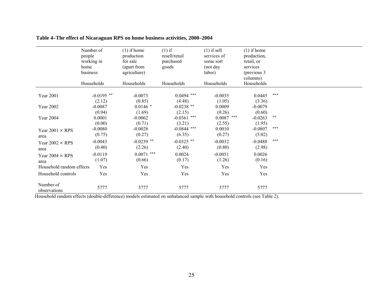|                           | Number of<br>people<br>working in<br>home<br>business | $(1)$ if home<br>production<br>for sale<br>(apart from<br>agriculture) | $(1)$ if<br>resell/retail<br>purchased<br>goods | $(1)$ if sell<br>services of<br>some sort<br>(not day<br>labor) | $(1)$ if home<br>production,<br>retail, or<br>services<br>(previous 3)<br>columns) |     |
|---------------------------|-------------------------------------------------------|------------------------------------------------------------------------|-------------------------------------------------|-----------------------------------------------------------------|------------------------------------------------------------------------------------|-----|
|                           | Households                                            | Households                                                             | Households                                      | Households                                                      | Households                                                                         |     |
| Year 2001                 | $-0.0195$ **<br>(2.12)                                | $-0.0073$<br>(0.85)                                                    | $0.0494$ ***<br>(4.48)                          | $-0.0035$<br>(1.05)                                             | 0.0445<br>(3.36)                                                                   | *** |
| Year 2002                 | $-0.0087$                                             | $0.0146*$                                                              | $-0.0238$ **                                    | 0.0009                                                          | $-0.0079$                                                                          |     |
|                           | (0.94)                                                | (1.69)                                                                 | (2.15)                                          | (0.26)                                                          | (0.60)                                                                             |     |
| Year 2004                 | 0.0001                                                | $-0.0062$                                                              | $-0.0361$ ***                                   | ***<br>0.0087                                                   | $-0.0263$                                                                          | **  |
|                           | (0.00)                                                | (0.71)                                                                 | (3.21)                                          | (2.55)                                                          | (1.95)                                                                             |     |
| Year $2001 \times RPS$    | $-0.0080$                                             | $-0.0028$                                                              | $-0.0844$ ***                                   | 0.0010                                                          | $-0.0807$                                                                          | *** |
| area                      | (0.75)                                                | (0.27)                                                                 | (6.35)                                          | (0.27)                                                          | (5.02)                                                                             |     |
| Year $2002 \times RPS$    | $-0.0043$                                             | $-0.0239$ **                                                           | $-0.0325$ **                                    | $-0.0032$                                                       | $-0.0488$                                                                          | *** |
| area                      | (0.40)                                                | (2.26)                                                                 | (2.40)                                          | (0.80)                                                          | (2.98)                                                                             |     |
|                           | $-0.0119$                                             | $0.0071$ ***                                                           | 0.0024                                          | $-0.0051$                                                       | 0.0026                                                                             |     |
| Year $2004 \times RPS$    | (1.07)                                                | (0.66)                                                                 | (0.17)                                          | (1.26)                                                          | (0.16)                                                                             |     |
| area                      |                                                       |                                                                        |                                                 |                                                                 |                                                                                    |     |
| Household random effects  | Yes                                                   | Yes                                                                    | Yes                                             | Yes                                                             | Yes                                                                                |     |
| Household controls        | Yes                                                   | Yes                                                                    | Yes                                             | Yes                                                             | Yes                                                                                |     |
|                           |                                                       |                                                                        |                                                 |                                                                 |                                                                                    |     |
| Number of<br>observations | 5777                                                  | 5777                                                                   | 5777                                            | 5777                                                            | 5777                                                                               |     |

## **Table 4***–***The effect of Nicaraguan RPS on home business activities, 2000–2004**

Household random effects (double-difference) models estimated on unbalanced sample with household controls (see Table 2).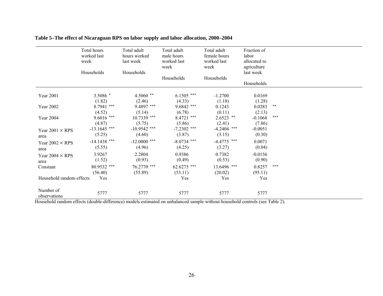|                                | Total hours<br>worked last<br>week<br>Households | Total adult<br>hours worked<br>last week<br>Households | Total adult<br>male hours<br>worked last<br>week<br>Households | Total adult<br>female hours<br>worked last<br>week<br>Households | Fraction of<br>labor<br>allocated to<br>agriculture<br>last week<br>Households |       |
|--------------------------------|--------------------------------------------------|--------------------------------------------------------|----------------------------------------------------------------|------------------------------------------------------------------|--------------------------------------------------------------------------------|-------|
| Year 2001                      | 3.5086 *<br>(1.82)                               | $4.5060**$<br>(2.46)                                   | $6.1505$ ***<br>(4.33)                                         | $-1.2700$<br>(1.18)                                              | 0.0169<br>(1.28)                                                               |       |
| Year 2002                      | 8.7941 ***                                       | 9.4897 ***                                             | $9.6842$ ***                                                   | 0.1243                                                           | 0.0283                                                                         | $***$ |
| Year 2004                      | (4.52)<br>$9.6016$ ***<br>(4.87)                 | (5.14)<br>10.7339 ***<br>(5.75)                        | (6.78)<br>$8.4721$ ***<br>(5.86)                               | (0.11)<br>$2.6523$ **<br>(2.41)                                  | (2.13)<br>$-0.1068$<br>(7.86)                                                  | ***   |
| Year $2001 \times RPS$<br>area | $-13.1645$ ***<br>(5.25)                         | $-10.9542$ ***<br>(4.60)                               | $-7.2302$ ***<br>(3.87)                                        | $-4.2404$ ***<br>(3.15)                                          | $-0.0051$<br>(0.30)                                                            |       |
| Year $2002 \times RPS$<br>area | $-14.1438$ ***<br>(5.55)                         | $-12.0000$ ***<br>(4.96)                               | $-8.0734$ ***<br>(4.25)                                        | $-4.4775$ ***<br>(3.27)                                          | 0.0071<br>(0.04)                                                               |       |
| Year $2004 \times RPS$<br>area | 3.9267<br>(1.52)                                 | 2.2804<br>(0.93)                                       | 0.9386<br>(0.49)                                               | 0.7382<br>(0.53)                                                 | $-0.0156$<br>(0.90)                                                            |       |
| Constant                       | 80.9532 ***<br>(56.40)                           | 76.2770 ***<br>(55.89)                                 | 62.6275 ***<br>(53.11)                                         | 13.6496 ***<br>(20.02)                                           | 0.8257<br>(95.11)                                                              | ***   |
| Household random effects       | Yes                                              |                                                        | Yes                                                            | Yes                                                              | Yes                                                                            |       |
| Number of<br>observations      | 5777                                             | 5777                                                   | 5777                                                           | 5777                                                             | 5777                                                                           |       |

## **Table 5***–***The effect of Nicaraguan RPS on labor supply and labor allocation, 2000–2004**

Household random effects (double-difference) models estimated on unbalanced sample without household controls (see Table 2).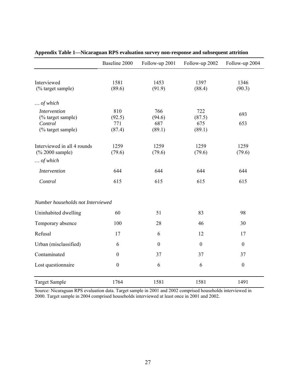|                                   | Baseline 2000    | Follow-up 2001   | Follow-up 2002   | Follow-up 2004   |  |  |
|-----------------------------------|------------------|------------------|------------------|------------------|--|--|
|                                   |                  |                  |                  |                  |  |  |
| Interviewed                       | 1581             | 1453             | 1397             | 1346             |  |  |
| (% target sample)                 | (89.6)           | (91.9)           | (88.4)           | (90.3)           |  |  |
| $\ldots$ of which                 |                  |                  |                  |                  |  |  |
| <b>Intervention</b>               | 810              | 766              | 722              |                  |  |  |
| (% target sample)                 | (92.5)           | (94.6)           | (87.5)           | 693              |  |  |
| Control                           | 771              | 687              | 675              | 653              |  |  |
| (% target sample)                 | (87.4)           | (89.1)           | (89.1)           |                  |  |  |
| Interviewed in all 4 rounds       | 1259             | 1259             | 1259             | 1259             |  |  |
| (% 2000 sample)                   | (79.6)           | (79.6)           | (79.6)           | (79.6)           |  |  |
| $\ldots$ of which                 |                  |                  |                  |                  |  |  |
| <b>Intervention</b>               | 644              | 644              | 644              | 644              |  |  |
| Control                           | 615              | 615              | 615              | 615              |  |  |
| Number households not Interviewed |                  |                  |                  |                  |  |  |
| Uninhabited dwelling              | 60               | 51               | 83               | 98               |  |  |
| Temporary absence                 | 100              | 28               | 46               | 30               |  |  |
| Refusal                           | 17               | 6                | 12               | 17               |  |  |
| Urban (misclassified)             | 6                | $\boldsymbol{0}$ | $\boldsymbol{0}$ | $\boldsymbol{0}$ |  |  |
| Contaminated                      | $\boldsymbol{0}$ | 37               | 37               | 37               |  |  |
| Lost questionnaire                | $\boldsymbol{0}$ | 6                | 6                | $\boldsymbol{0}$ |  |  |
| <b>Target Sample</b>              | 1764             | 1581             | 1581             | 1491             |  |  |

**Appendix Table 1—Nicaraguan RPS evaluation survey non-response and subsequent attrition** 

Source: Nicaraguan RPS evaluation data. Target sample in 2001 and 2002 comprised households interviewed in 2000. Target sample in 2004 comprised households interviewed at least once in 2001 and 2002.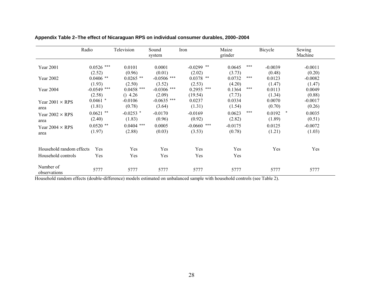|                           | Radio         | Television   | Sound<br>system | Iron          | Maize<br>grinder | Bicycle          | Sewing<br>Machine |
|---------------------------|---------------|--------------|-----------------|---------------|------------------|------------------|-------------------|
| <b>Year 2001</b>          | $0.0526$ ***  | 0.0101       | 0.0001          | $-0.0299$ **  | 0.0645           | ***<br>$-0.0039$ | $-0.0011$         |
|                           | (2.52)        | (0.96)       | (0.01)          | (2.02)        | (3.73)           | (0.48)           | (0.20)            |
| Year 2002                 | $0.0406$ **   | $0.0265$ **  | $-0.0506$ ***   | $0.0378$ **   | 0.0732           | ***<br>0.0123    | $-0.0082$         |
|                           | (1.93)        | (2.50)       | (3.52)          | (2.53)        | (4.20)           | (1.47)           | (1.47)            |
| Year 2004                 | $-0.0549$ *** | $0.0458$ *** | $-0.0306$ ***   | $0.2955$ ***  | 0.1364           | ***<br>0.0113    | 0.0049            |
|                           | (2.58)        | $()$ 4.26    | (2.09)          | (19.54)       | (7.73)           | (1.34)           | (0.88)            |
| Year $2001 \times RPS$    | $0.0461$ *    | $-0.0106$    | $-0.0635$ ***   | 0.0237        | 0.0334           | 0.0070           | $-0.0017$         |
| area                      | (1.81)        | (0.78)       | (3.64)          | (1.31)        | (1.54)           | (0.70)           | (0.26)            |
| Year $2002 \times RPS$    | $0.0621$ **   | $-0.0253$ *  | $-0.0170$       | $-0.0169$     | 0.0623           | ***<br>0.0192    | $\ast$<br>0.0035  |
| area                      | (2.40)        | (1.83)       | (0.96)          | (0.92)        | (2.82)           | (1.89)           | (0.51)            |
| Year $2004 \times RPS$    | $0.0520$ **   | $0.0404$ *** | 0.0005          | $-0.0660$ *** | $-0.0175$        | 0.0125           | $-0.0072$         |
| area                      | (1.97)        | (2.88)       | (0.03)          | (3.53)        | (0.78)           | (1.21)           | (1.03)            |
|                           |               |              |                 |               |                  |                  |                   |
| Household random effects  | Yes           | Yes          | Yes             | Yes           | Yes              | Yes              | Yes               |
| Household controls        | Yes           | Yes          | Yes             | Yes           | Yes              |                  |                   |
| Number of<br>observations | 5777          | 5777         | 5777            | 5777          | 5777             | 5777             | 5777              |

**Appendix Table 2***–***The effect of Nicaraguan RPS on individual consumer durables, 2000–2004** 

Household random effects (double-difference) models estimated on unbalanced sample with household controls (see Table 2).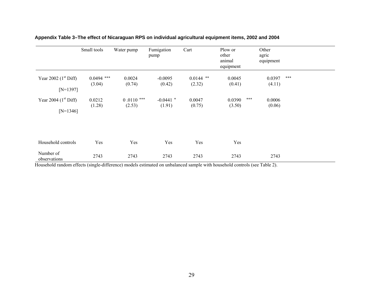|                                      | Small tools            | Water pump             | Fumigation<br>pump    | Cart                  | Plow or<br>other<br>animal<br>equipment |       | Other<br>agric<br>equipment |     |
|--------------------------------------|------------------------|------------------------|-----------------------|-----------------------|-----------------------------------------|-------|-----------------------------|-----|
| Year 2002 $(1st Diff)$<br>$[N=1397]$ | $0.0494$ ***<br>(3.04) | 0.0024<br>(0.74)       | $-0.0095$<br>(0.42)   | $0.0144$ **<br>(2.32) | 0.0045<br>(0.41)                        |       | 0.0397<br>(4.11)            | *** |
| Year 2004 $(1st Diff)$<br>$[N=1346]$ | 0.0212<br>(1.28)       | $0.0110$ ***<br>(2.53) | $-0.0441$ *<br>(1.91) | 0.0047<br>(0.75)      | 0.0390<br>(3.50)                        | $***$ | 0.0006<br>(0.06)            |     |
| Household controls                   | Yes                    | Yes                    | Yes                   | Yes                   | Yes                                     |       |                             |     |
| Number of<br>observations            | 2743                   | 2743                   | 2743                  | 2743                  | 2743                                    |       | 2743                        |     |

**Appendix Table 3***–***The effect of Nicaraguan RPS on individual agricultural equipment items, 2002 and 2004** 

Household random effects (single-difference) models estimated on unbalanced sample with household controls (see Table 2).